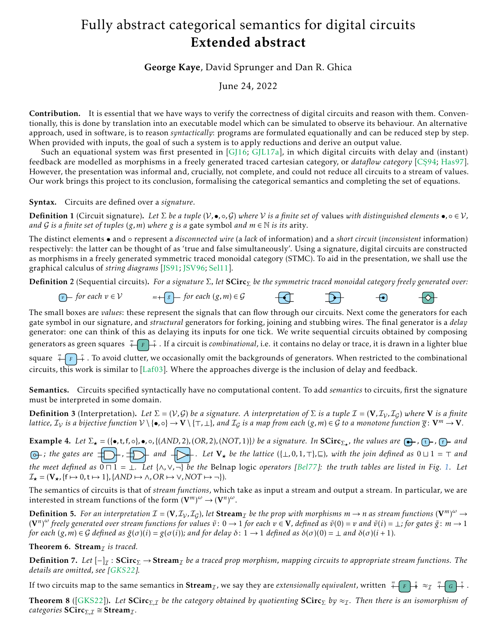## Fully abstract categorical semantics for digital circuits Extended abstract

George Kaye, David Sprunger and Dan R. Ghica

June 24, 2022

Contribution. It is essential that we have ways to verify the correctness of digital circuits and reason with them. Conventionally, this is done by translation into an executable model which can be simulated to observe its behaviour. An alternative approach, used in software, is to reason *syntactically*: programs are formulated equationally and can be reduced step by step. When provided with inputs, the goal of such a system is to apply reductions and derive an output value.

Such an equational system was first presented in [\[GJ16;](#page-3-0) [GJL17a\]](#page-3-1), in which digital circuits with delay and (instant) feedback are modelled as morphisms in a freely generated traced cartesian category, or *dataflow category* [CŞ94; [Has97\]](#page-3-3). However, the presentation was informal and, crucially, not complete, and could not reduce all circuits to a stream of values. Our work brings this project to its conclusion, formalising the categorical semantics and completing the set of equations.

Syntax. Circuits are defined over a *signature*.

**Definition 1** (Circuit signature). Let  $\Sigma$  *be a tuple*  $(V, \bullet, \circ, G)$  *where* V *is a finite set of* values *with distinguished elements*  $\bullet$ ,  $\circ \in V$ *, and* G *is a finite set of tuples*  $(g, m)$  *where*  $g$  *is a* gate symbol *and*  $m \in \mathbb{N}$  *is its arity.* 

The distinct elements • and ◦ represent a *disconnected wire* (a *lack* of information) and a *short circuit* (*inconsistent* information) respectively: the latter can be thought of as 'true and false simultaneously'. Using a signature, digital circuits are constructed as morphisms in a freely generated symmetric traced monoidal category (STMC). To aid in the presentation, we shall use the graphical calculus of *string diagrams* [\[JS91;](#page-3-4) [JSV96;](#page-3-5) [Sel11\]](#page-3-6).

**Definition 2** (Sequential circuits). *For a signature* Σ, let **SCirc**<sub>Σ</sub> be the symmetric traced monoidal category freely generated over:

*v for each*  $v \in V$  *m*  $+ \binom{g}{s}$  *for each*  $(g, m) \in \mathcal{G}$  $\mathbf{D}^+$  $\boldsymbol{\leftarrow}$ ⊦⇔⊦

The small boxes are *values*: these represent the signals that can flow through our circuits. Next come the generators for each gate symbol in our signature, and *structural* generators for forking, joining and stubbing wires. The final generator is a *delay* generator: one can think of this as delaying its inputs for one tick. We write sequential circuits obtained by composing generators as green squares  $\frac{m}{1 + F} + \frac{n}{2}$  . If a circuit is *combinational,* i.e. it contains no delay or trace, it is drawn in a lighter blue square  $\sqrt[m]{F}$ . To avoid clutter, we occasionally omit the backgrounds of generators. When restricted to the combinational circuits, this work is similar to [\[Laf03\]](#page-3-7). Where the approaches diverge is the inclusion of delay and feedback.

Semantics. Circuits specified syntactically have no computational content. To add *semantics* to circuits, first the signature must be interpreted in some domain.

**Definition 3** (Interpretation). Let  $\Sigma = (V, G)$  be a signature. A interpretation of  $\Sigma$  is a tuple  $\mathcal{I} = (V, \mathcal{I}_V, \mathcal{I}_G)$  where V is a finite *lattice,*  $\mathcal{I}_{\mathcal{V}}$  *is a bijective function*  $V \setminus \{ \bullet, \circ \} \to V \setminus \{ \top, \bot \}$ *, and*  $\mathcal{I}_{\mathcal{G}}$  *is a map from each*  $(g, m) \in \mathcal{G}$  *to a monotone function*  $\overline{g}$ :  $V^m \to V$ *.* 

**Example 4.** Let  $\Sigma_{\star} = (\{\bullet, t, f, \circ\}, \bullet, \circ, \{(AND, 2), (OR, 2), (NOT, 1)\})$  be a signature. In  $SCirc_{\Sigma_{\star}}$ , the values are  $\bigoplus$ ,  $\bigoplus$ ,  $\bigoplus$  and *; the gates are , and . Let* V*<sup>⋆</sup> be the lattice* ({⊥*,*0*,*1*,*⊤}*,*⊑)*, with the join defined as* 0 ⊔ 1 = ⊤ *and the meet defined as* 0 ⊓ 1 = ⊥*. Let* {∧*,*∨*,*¬} *be the* Belnap logic *operators [\[Bel77\]](#page-3-8): the truth tables are listed in Fig. [1.](#page-2-0) Let*  $\mathcal{I}_{\star} = (\mathbf{V}_{\star}, \{\mathbf{f} \mapsto 0, \mathbf{t} \mapsto 1\}, \{\text{AND} \mapsto \wedge, \text{OR} \mapsto \vee, \text{NOT} \mapsto \neg\}).$ 

The semantics of circuits is that of *stream functions*, which take as input a stream and output a stream. In particular, we are interested in stream functions of the form  $(\mathbf{V}^m)^\omega \to (\mathbf{V}^n)^\omega$ .

**Definition 5.** For an interpretation  $\mathcal{I} = (V, \mathcal{I}_V, \mathcal{I}_G)$ , let  $\mathbf{Stream}_\mathcal{I}$  be the prop with morphisms  $m \to n$  as stream functions  $(V^m)^\omega \to$  $({\bf V}^n)^\omega$  freely generated over stream functions for values  $\tilde v\colon 0\to 1$  for each  $v\in {\bf V}$ , defined as  $\tilde v(0)=v$  and  $\tilde v(i)=\bot$ ; for gates  $\tilde g\colon m\to 1$ for each  $(g, m) \in G$  defined as  $\tilde{g}(\sigma)(i) = g(\sigma(i))$ ; and for delay  $\delta: 1 \to 1$  defined as  $\delta(\sigma)(0) = \bot$  and  $\delta(\sigma)(i+1)$ .

Theorem 6. Stream<sub>*I*</sub> is traced.

 $\bf{Definition 7.}$  Let  $[-]_{\mathcal{I}}: \mathbf{SCirc}_{\Sigma} \to \mathbf{Stream}_{\mathcal{I}}$  be a traced prop morphism, mapping circuits to appropriate stream functions. The *details are omitted, see [\[GKS22\]](#page-3-9).*

If two circuits map to the same semantics in  $\text{Stream}_{\mathcal{I}}$ , we say they are *extensionally equivalent*, written  $\bigoplus_{F} \bigoplus_{i=1}^{n} \infty_{\mathcal{I}} \bigoplus_{i=1}^{n} C_{i} \bigoplus_{i=1}^{n} C_{i}$ .

**Theorem 8** ([\[GKS22\]](#page-3-9)). Let  $SCirc_{\Sigma,\mathcal{I}}$  *be the category obtained by quotienting*  $SCirc_{\Sigma}$  *by*  $\approx_{\mathcal{I}}$ . Then there is an isomorphism of *categories*  $SCirc_{\Sigma, \mathcal{I}} \cong Stream_{\mathcal{I}}$ *.*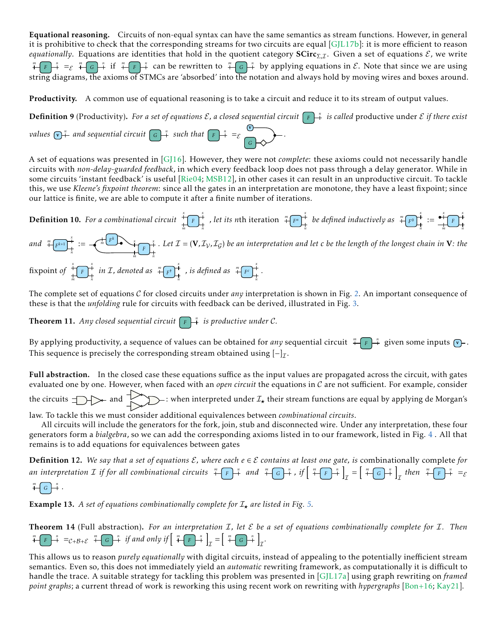Equational reasoning. Circuits of non-equal syntax can have the same semantics as stream functions. However, in general it is prohibitive to check that the corresponding streams for two circuits are equal [\[GJL17b\]](#page-3-10): it is more efficient to reason *equationally*. Equations are identities that hold in the quotient category SCirc<sub>Σ, I</sub>. Given a set of equations  $\mathcal{E}$ , we write  $\frac{m}{\sqrt{F}}\left[\frac{n}{F} + \frac{m}{F}\right]$  *f*  $\frac{m}{\sqrt{F}}\left[\frac{n}{F}\right]$  *f*  $\frac{n}{\sqrt{F}}$  can be rewritten to  $\frac{m}{\sqrt{F}}\left[\frac{n}{F}\right]$  by applying equations in  $\mathcal{E}$ . Note that since we are using string diagrams, the axioms of STMCs are 'absorbed' into the notation and always hold by moving wires and boxes around.

Productivity. A common use of equational reasoning is to take a circuit and reduce it to its stream of output values.

**Definition 9** (Productivity). For a set of equations  $\mathcal{E}$ , a closed sequential circuit  $\boxed{F}$   $\overset{n}{\rightarrow}$  is called productive under  $\mathcal{E}$  if there exist

*values*  $\left[\nabla\right)^{\frac{n}{+}}$  and sequential circuit  $\left[\nabla\right]^{\frac{n}{+}}$  such that  $\left[\nabla\right]^{\frac{n}{+}} = \varepsilon$ *G* v *.*

A set of equations was presented in [\[GJ16\]](#page-3-0). However, they were not *complete*: these axioms could not necessarily handle circuits with *non-delay-guarded feedback*, in which every feedback loop does not pass through a delay generator. While in some circuits 'instant feedback' is useful [\[Rie04;](#page-3-11) [MSB12\]](#page-3-12), in other cases it can result in an unproductive circuit. To tackle this, we use *Kleene's fixpoint theorem*: since all the gates in an interpretation are monotone, they have a least fixpoint; since our lattice is finite, we are able to compute it after a finite number of iterations.



The complete set of equations C for closed circuits under *any* interpretation is shown in Fig. [2.](#page-2-1) An important consequence of these is that the *unfolding* rule for circuits with feedback can be derived, illustrated in Fig. [3.](#page-2-2)

**Theorem 11.** Any closed sequential circuit  $\boxed{F}$  is productive under C.

By applying productivity, a sequence of values can be obtained for *any* sequential circuit  $\frac{m}{n} \int_{0}^{\frac{\pi}{n}} f(x) \, dx$  given some inputs  $\frac{m}{n}$ . This sequence is precisely the corresponding stream obtained using  $\left[-\right]_{\mathcal{I}}$ .

Full abstraction. In the closed case these equations suffice as the input values are propagated across the circuit, with gates evaluated one by one. However, when faced with an *open circuit* the equations in C are not sufficient. For example, consider the circuits  $\Box$  and  $\Box$  ivhen interpreted under  $\mathcal{I}_\star$  their stream functions are equal by applying de Morgan's

law. To tackle this we must consider additional equivalences between *combinational circuits*.

All circuits will include the generators for the fork, join, stub and disconnected wire. Under any interpretation, these four generators form a *bialgebra*, so we can add the corresponding axioms listed in to our framework, listed in Fig. [4](#page-2-3) . All that remains is to add equations for equivalences between gates

Definition 12. We say that a set of equations  $E$ , where each  $e ∈ E$  contains at least one gate, is combinationally complete for an interpretation *L* if for all combinational circuits  $\sqrt[m]{F}F^{\frac{n}{2}}$  and  $\sqrt[m]{F}F^{\frac{n}{2}}$ , if  $\left[\sqrt[m]{F}F^{\frac{n}{2}}F\right]_T^{\pi}=\left[\sqrt[m]{G}F^{\frac{n}{2}}\right]_T$  then  $\sqrt[m]{F}F^{\frac{n}{2}}=\varepsilon$  $\overline{H}$   $\overline{G}$   $\overline{H}$   $\overline{F}$ 

**Example 13.** A set of equations combinationally complete for  $I<sub>+</sub>$  are listed in Fig. [5.](#page-2-4)

Theorem 14 (Full abstraction). *For an interpretation* I*, let* E *be a set of equations combinationally complete for* I*. Then*  $\int_{0}^{\pi} F \left( -F \right) \, dx = C + B + \mathcal{E}$   $\int_{0}^{\pi} F \left( -F \right) \, dx$  *if and only if*  $\left[ -F \left( -F \right) \right]_{0}^{\pi}$   $\int_{\mathcal{I}} F \left( -F \right) \, dx$   $\int_{\mathcal{I}} F \left( -F \right) \, dx$ 

This allows us to reason *purely equationally* with digital circuits, instead of appealing to the potentially inefficient stream semantics. Even so, this does not immediately yield an *automatic* rewriting framework, as computationally it is difficult to handle the trace. A suitable strategy for tackling this problem was presented in [\[GJL17a\]](#page-3-1) using graph rewriting on *framed point graphs*; a current thread of work is reworking this using recent work on rewriting with *hypergraphs* [\[Bon+16;](#page-3-13) [Kay21\]](#page-3-14).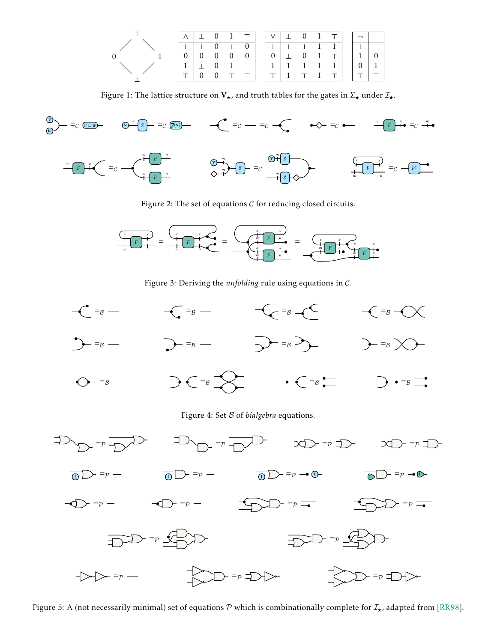

<span id="page-2-0"></span>Figure 1: The lattice structure on  $V_{\star}$ , and truth tables for the gates in  $\Sigma_{\star}$  under  $\mathcal{I}_{\star}$ .



<span id="page-2-1"></span>Figure 2: The set of equations  $C$  for reducing closed circuits.



<span id="page-2-3"></span><span id="page-2-2"></span>Figure 3: Deriving the *unfolding* rule using equations in C.



<span id="page-2-4"></span>Figure 5: A (not necessarily minimal) set of equations  $\cal P$  which is combinationally complete for  $\cal I_\star$ , adapted from [\[RR98\]](#page-3-15).